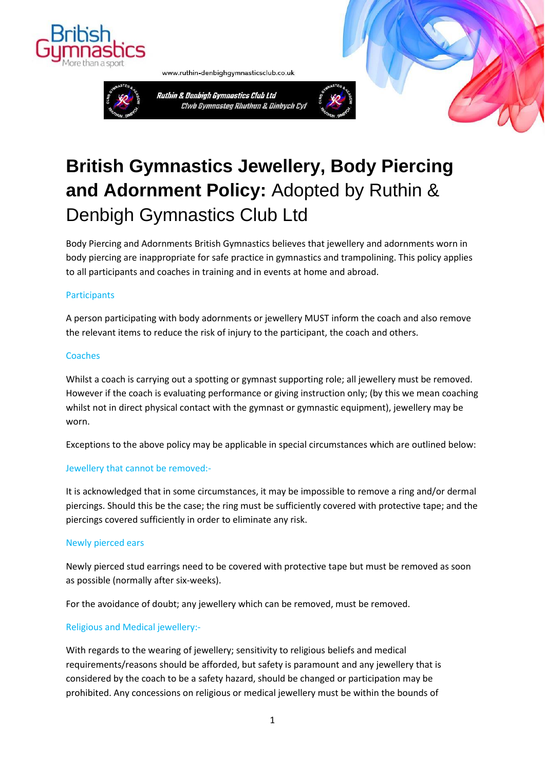

Ruthin & Denbigh Gymnastics Club Ltd Clwb Gymnasteg Rhuthun & Dinbych Cyf

www.ruthin-denbighgymnasticsclub.co.uk



# **British Gymnastics Jewellery, Body Piercing and Adornment Policy:** Adopted by Ruthin & Denbigh Gymnastics Club Ltd

Body Piercing and Adornments British Gymnastics believes that jewellery and adornments worn in body piercing are inappropriate for safe practice in gymnastics and trampolining. This policy applies to all participants and coaches in training and in events at home and abroad.

## **Participants**

A person participating with body adornments or jewellery MUST inform the coach and also remove the relevant items to reduce the risk of injury to the participant, the coach and others.

### **Coaches**

Whilst a coach is carrying out a spotting or gymnast supporting role; all jewellery must be removed. However if the coach is evaluating performance or giving instruction only; (by this we mean coaching whilst not in direct physical contact with the gymnast or gymnastic equipment), jewellery may be worn.

Exceptions to the above policy may be applicable in special circumstances which are outlined below:

### Jewellery that cannot be removed:-

It is acknowledged that in some circumstances, it may be impossible to remove a ring and/or dermal piercings. Should this be the case; the ring must be sufficiently covered with protective tape; and the piercings covered sufficiently in order to eliminate any risk.

### Newly pierced ears

Newly pierced stud earrings need to be covered with protective tape but must be removed as soon as possible (normally after six-weeks).

For the avoidance of doubt; any jewellery which can be removed, must be removed.

### Religious and Medical jewellery:-

With regards to the wearing of jewellery; sensitivity to religious beliefs and medical requirements/reasons should be afforded, but safety is paramount and any jewellery that is considered by the coach to be a safety hazard, should be changed or participation may be prohibited. Any concessions on religious or medical jewellery must be within the bounds of